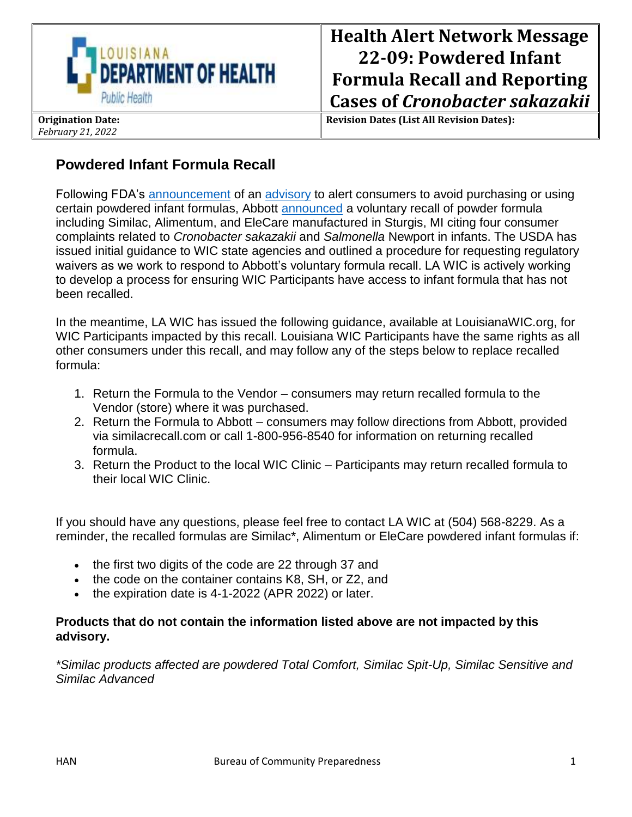

**Revision Dates (List All Revision Dates):**

## **Powdered Infant Formula Recall**

*February 21, 2022*

Following FDA's [announcement](https://urldefense.proofpoint.com/v2/url?u=https-3A__gcc02.safelinks.protection.outlook.com_-3Furl-3Dhttps-253A-252F-252Fwww.fda.gov-252Fnews-2Devents-252Fpress-2Dannouncements-252Ffda-2Dwarns-2Dconsumers-2Dnot-2Duse-2Dcertain-2Dpowdered-2Dinfant-2Dformula-2Dproduced-2Dabbott-2Dnutritions-2Dfacility-26data-3D04-257C01-257C-257Ce0a3b378e51b486e44c108d9f2e81a52-257Ced5b36e701ee4ebc867ee03cfa0d4697-257C0-257C0-257C637807900946079112-257CUnknown-257CTWFpbGZsb3d8eyJWIjoiMC4wLjAwMDAiLCJQIjoiV2luMzIiLCJBTiI6Ik1haWwiLCJXVCI6Mn0-253D-257C3000-26sdata-3DAD3jc8W3BHg8oJXc9HrRuALt2vyadzJdx4tdwyiWdHs-253D-26reserved-3D0&d=DwMGaQ&c=xlPCXuHzMdaH2Flc1sgyicYpGQbQbU9KDEmgNF3_wI0&r=N9QDacQNOslmRAnlFGOW1mJbyRhVHkpyCfMXWbt2JG8&m=kAdsXa4LQa8Oo9Bc84C5TtlAVhRyAUyLtSYtq0TK0aU&s=B8bwcp9E0yEeBU5ucPEN8BP55dRkNPP6TO7JYSXYqCY&e=) of an [advisory](https://urldefense.proofpoint.com/v2/url?u=https-3A__gcc02.safelinks.protection.outlook.com_-3Furl-3Dhttps-253A-252F-252Fwww.fda.gov-252Ffood-252Foutbreaks-2Dfoodborne-2Dillness-252Ffda-2Dinvestigation-2Dcronobacter-2Dand-2Dsalmonella-2Dcomplaints-2Dpowdered-2Dinfant-2Dformula-2Dfebruary-2D2022-26data-3D04-257C01-257C-257Ce0a3b378e51b486e44c108d9f2e81a52-257Ced5b36e701ee4ebc867ee03cfa0d4697-257C0-257C0-257C637807900946079112-257CUnknown-257CTWFpbGZsb3d8eyJWIjoiMC4wLjAwMDAiLCJQIjoiV2luMzIiLCJBTiI6Ik1haWwiLCJXVCI6Mn0-253D-257C3000-26sdata-3DGNrPw9gzBkkCtwh9OhAF6pfTrhj92whTQi46MQu1Ig4-253D-26reserved-3D0&d=DwMGaQ&c=xlPCXuHzMdaH2Flc1sgyicYpGQbQbU9KDEmgNF3_wI0&r=N9QDacQNOslmRAnlFGOW1mJbyRhVHkpyCfMXWbt2JG8&m=kAdsXa4LQa8Oo9Bc84C5TtlAVhRyAUyLtSYtq0TK0aU&s=Ijpuojrrin9HFUEVvtmh5CiLYD9QcR7ySeKdGwoZGBI&e=) to alert consumers to avoid purchasing or using certain powdered infant formulas, Abbott [announced](https://urldefense.proofpoint.com/v2/url?u=https-3A__gcc02.safelinks.protection.outlook.com_-3Furl-3Dhttps-253A-252F-252Fwww.fda.gov-252Fsafety-252Frecalls-2Dmarket-2Dwithdrawals-2Dsafety-2Dalerts-252Fabbott-2Dvoluntarily-2Drecalls-2Dpowder-2Dformulas-2Dmanufactured-2Done-2Dplant-26data-3D04-257C01-257C-257Ce0a3b378e51b486e44c108d9f2e81a52-257Ced5b36e701ee4ebc867ee03cfa0d4697-257C0-257C0-257C637807900946079112-257CUnknown-257CTWFpbGZsb3d8eyJWIjoiMC4wLjAwMDAiLCJQIjoiV2luMzIiLCJBTiI6Ik1haWwiLCJXVCI6Mn0-253D-257C3000-26sdata-3DPfG73swRRkHHb994OzzWHCabryM4u69kUlP-252FyDHrMwU-253D-26reserved-3D0&d=DwMGaQ&c=xlPCXuHzMdaH2Flc1sgyicYpGQbQbU9KDEmgNF3_wI0&r=N9QDacQNOslmRAnlFGOW1mJbyRhVHkpyCfMXWbt2JG8&m=kAdsXa4LQa8Oo9Bc84C5TtlAVhRyAUyLtSYtq0TK0aU&s=SOu0aGDd1cvl178mtLKxkcGYPjetYHFxEO5n9vWNU-w&e=) a voluntary recall of powder formula including Similac, Alimentum, and EleCare manufactured in Sturgis, MI citing four consumer complaints related to *Cronobacter sakazakii* and *Salmonella* Newport in infants. The USDA has issued initial guidance to WIC state agencies and outlined a procedure for requesting regulatory waivers as we work to respond to Abbott's voluntary formula recall. LA WIC is actively working to develop a process for ensuring WIC Participants have access to infant formula that has not been recalled.

In the meantime, LA WIC has issued the following guidance, available at LouisianaWIC.org, for WIC Participants impacted by this recall. Louisiana WIC Participants have the same rights as all other consumers under this recall, and may follow any of the steps below to replace recalled formula:

- 1. Return the Formula to the Vendor consumers may return recalled formula to the Vendor (store) where it was purchased.
- 2. Return the Formula to Abbott consumers may follow directions from Abbott, provided via similacrecall.com or call 1-800-956-8540 for information on returning recalled formula.
- 3. Return the Product to the local WIC Clinic Participants may return recalled formula to their local WIC Clinic.

If you should have any questions, please feel free to contact LA WIC at (504) 568-8229. As a reminder, the recalled formulas are Similac\*, Alimentum or EleCare powdered infant formulas if:

- the first two digits of the code are 22 through 37 and
- the code on the container contains K8, SH, or Z2, and
- the expiration date is 4-1-2022 (APR 2022) or later.

## **Products that do not contain the information listed above are not impacted by this advisory.**

*\*Similac products affected are powdered Total Comfort, Similac Spit-Up, Similac Sensitive and Similac Advanced*